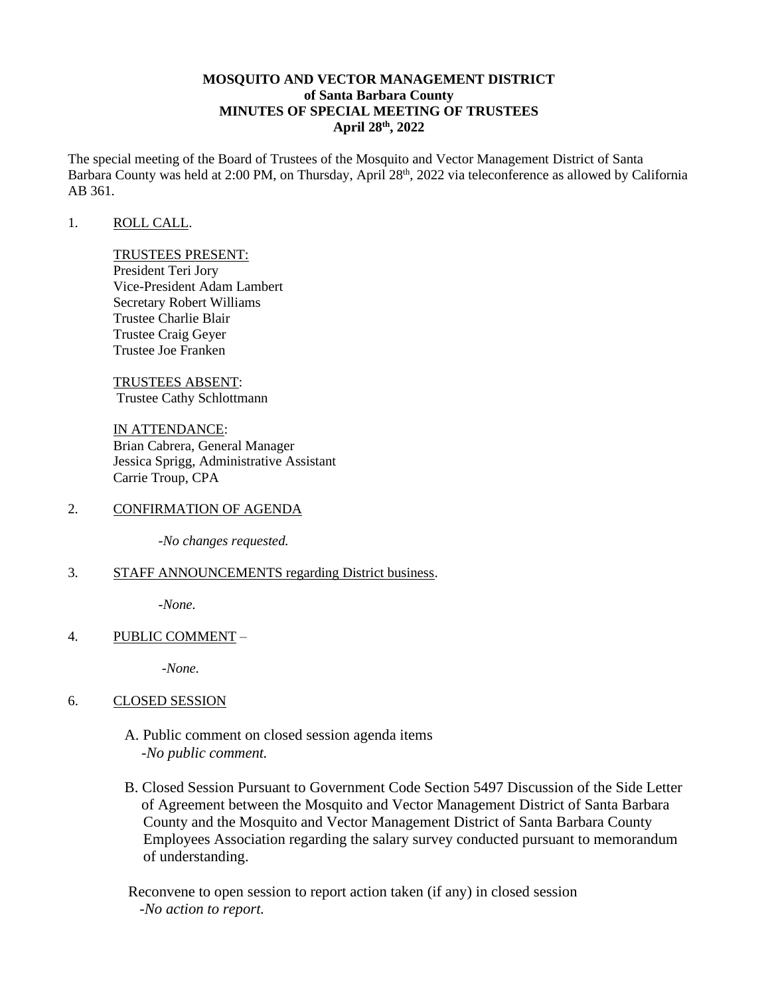# **MOSQUITO AND VECTOR MANAGEMENT DISTRICT of Santa Barbara County MINUTES OF SPECIAL MEETING OF TRUSTEES April 28th, 2022**

The special meeting of the Board of Trustees of the Mosquito and Vector Management District of Santa Barbara County was held at 2:00 PM, on Thursday, April 28<sup>th</sup>, 2022 via teleconference as allowed by California AB 361.

### 1. ROLL CALL.

#### TRUSTEES PRESENT:

President Teri Jory Vice-President Adam Lambert Secretary Robert Williams Trustee Charlie Blair Trustee Craig Geyer Trustee Joe Franken

TRUSTEES ABSENT: Trustee Cathy Schlottmann

IN ATTENDANCE: Brian Cabrera, General Manager Jessica Sprigg, Administrative Assistant Carrie Troup, CPA

#### 2. CONFIRMATION OF AGENDA

*-No changes requested.*

#### 3. STAFF ANNOUNCEMENTS regarding District business.

*-None.* 

## 4. PUBLIC COMMENT –

*-None.* 

## 6. CLOSED SESSION

- A. Public comment on closed session agenda items -*No public comment.*
- B. Closed Session Pursuant to Government Code Section 5497 Discussion of the Side Letter of Agreement between the Mosquito and Vector Management District of Santa Barbara County and the Mosquito and Vector Management District of Santa Barbara County Employees Association regarding the salary survey conducted pursuant to memorandum of understanding.

Reconvene to open session to report action taken (if any) in closed session -*No action to report.*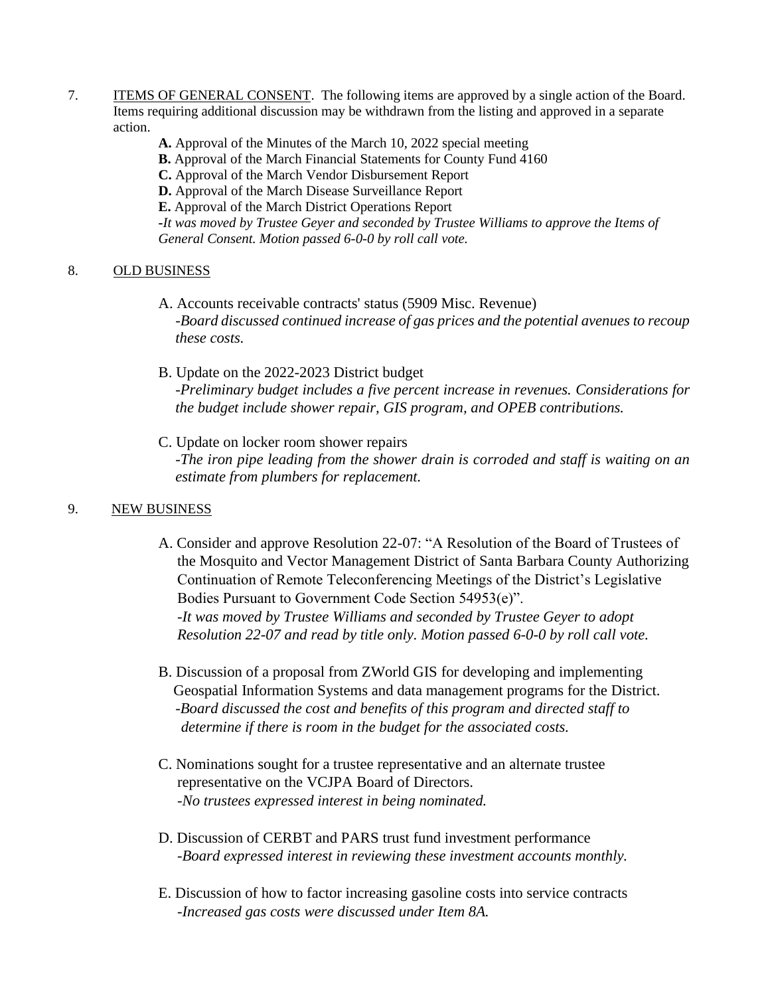- 7. ITEMS OF GENERAL CONSENT. The following items are approved by a single action of the Board. Items requiring additional discussion may be withdrawn from the listing and approved in a separate action.
	- **A.** Approval of the Minutes of the March 10, 2022 special meeting
	- **B.** Approval of the March Financial Statements for County Fund 4160
	- **C.** Approval of the March Vendor Disbursement Report
	- **D.** Approval of the March Disease Surveillance Report
	- **E.** Approval of the March District Operations Report

**-***It was moved by Trustee Geyer and seconded by Trustee Williams to approve the Items of General Consent. Motion passed 6-0-0 by roll call vote.* 

# 8. OLD BUSINESS

- A. Accounts receivable contracts' status (5909 Misc. Revenue) -*Board discussed continued increase of gas prices and the potential avenues to recoup these costs.*
- B. Update on the 2022-2023 District budget -*Preliminary budget includes a five percent increase in revenues. Considerations for the budget include shower repair, GIS program, and OPEB contributions.*
- C. Update on locker room shower repairs *-The iron pipe leading from the shower drain is corroded and staff is waiting on an estimate from plumbers for replacement.*

# 9. NEW BUSINESS

- A. Consider and approve Resolution 22-07: "A Resolution of the Board of Trustees of the Mosquito and Vector Management District of Santa Barbara County Authorizing Continuation of Remote Teleconferencing Meetings of the District's Legislative Bodies Pursuant to Government Code Section 54953(e)". -*It was moved by Trustee Williams and seconded by Trustee Geyer to adopt Resolution 22-07 and read by title only. Motion passed 6-0-0 by roll call vote.*
- B. Discussion of a proposal from ZWorld GIS for developing and implementing Geospatial Information Systems and data management programs for the District. -*Board discussed the cost and benefits of this program and directed staff to determine if there is room in the budget for the associated costs.*
- C. Nominations sought for a trustee representative and an alternate trustee representative on the VCJPA Board of Directors. -*No trustees expressed interest in being nominated.*
- D. Discussion of CERBT and PARS trust fund investment performance -*Board expressed interest in reviewing these investment accounts monthly.*
- E. Discussion of how to factor increasing gasoline costs into service contracts -*Increased gas costs were discussed under Item 8A.*